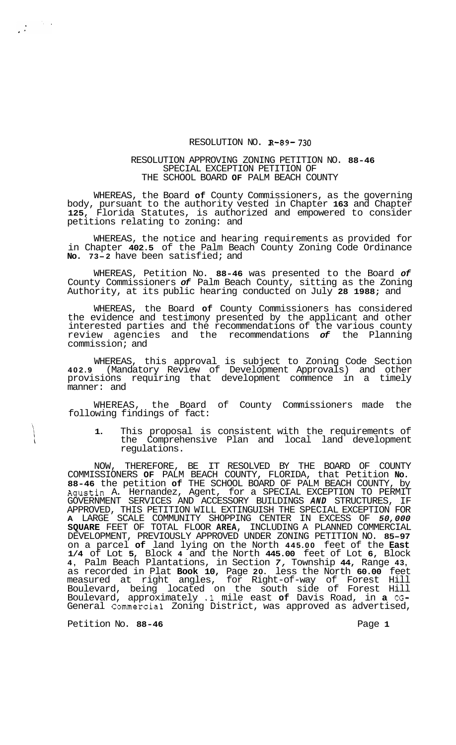## RESOLUTION NO. **R-89- 730**

## RESOLUTION APPROVING ZONING PETITION NO. **88-46**  SPECIAL EXCEPTION PETITION OF THE SCHOOL BOARD **OF** PALM BEACH COUNTY

WHEREAS, the Board **of** County Commissioners, as the governing body, pursuant to the authority vested in Chapter **163** and Chapter **125,** Florida Statutes, is authorized and empowered to consider petitions relating to zoning: and

WHEREAS, the notice and hearing requirements as provided for in Chapter **402.5** of the Palm Beach County Zoning Code Ordinance **No. 73-2** have been satisfied; and

WHEREAS, Petition No. **88-46** was presented to the Board *of*  County Commissioners *of* Palm Beach County, sitting as the Zoning Authority, at its public hearing conducted on July **28 1988;** and

WHEREAS, the Board **of** County Commissioners has considered the evidence and testimony presented by the applicant and other interested parties and the recommendations of the various county review agencies and the recommendations *of* the Planning commission; and

WHEREAS, this approval is subject to Zoning Code Section **402.9** (Mandatory Review of Development Approvals) and other provisions requiring that development commence in a timely manner: and

WHEREAS, the Board of County Commissioners made the following findings of fact:

**1.** This proposal is consistent with the requirements of the Comprehensive Plan and local land development regulations.

NOW, THEREFORE, BE IT RESOLVED BY THE BOARD OF COUNTY COMMISSIONERS **OF** PALM BEACH COUNTY, FLORIDA, that Petition **No. 88-46** the petition **of** THE SCHOOL BOARD OF PALM BEACH COUNTY, by Agustin A. Hernandez, Agent, for a SPECIAL EXCEPTION TO PERMIT GOVERNMENT SERVICES AND ACCESSORY BUILDINGS *AND* STRUCTURES, IF APPROVED, THIS PETITION WILL EXTINGUISH THE SPECIAL EXCEPTION FOR **A** LARGE SCALE COMMUNITY SHOPPING CENTER IN EXCESS OF *50,000*  **SQUARE** FEET OF TOTAL FLOOR **AREA,** INCLUDING A PLANNED COMMERCIAL DEVELOPMENT, PREVIOUSLY APPROVED UNDER ZONING PETITION NO. **85-97**  on a parcel **of** land lying on the North **445.00** feet of the **East 1/4** of Lot **5,** Block **4** and the North **445.00** feet of Lot **6,** Block **4,** Palm Beach Plantations, in Section *7,* Township **44,** Range **43,**  as recorded in Plat **Book 10,** Page **20.** less the North **60.00** feet measured at right angles, for Right-of-way of Forest Hill Boulevard, being located on the south side of Forest Hill Boulevard, approximately **.1** mile east **of** Davis Road, in **a** *CG-*General Commercial Zoning District, was approved as advertised,

Petition No. 88-46 **Page 1 Page 1** 

 $\frac{1}{4\pi\epsilon^2} \left[ \frac{1}{\sqrt{2\pi}} \right] \frac{1}{\sqrt{2\pi}} \frac{1}{\sqrt{2\pi}} \frac{1}{\sqrt{2\pi}} \frac{1}{\sqrt{2\pi}} \frac{1}{\sqrt{2\pi}} \frac{1}{\sqrt{2\pi}} \frac{1}{\sqrt{2\pi}} \frac{1}{\sqrt{2\pi}} \frac{1}{\sqrt{2\pi}} \frac{1}{\sqrt{2\pi}} \frac{1}{\sqrt{2\pi}} \frac{1}{\sqrt{2\pi}} \frac{1}{\sqrt{2\pi}} \frac{1}{\sqrt{2\pi}} \frac{1}{\sqrt{2\pi}} \frac{1}{\sqrt{2$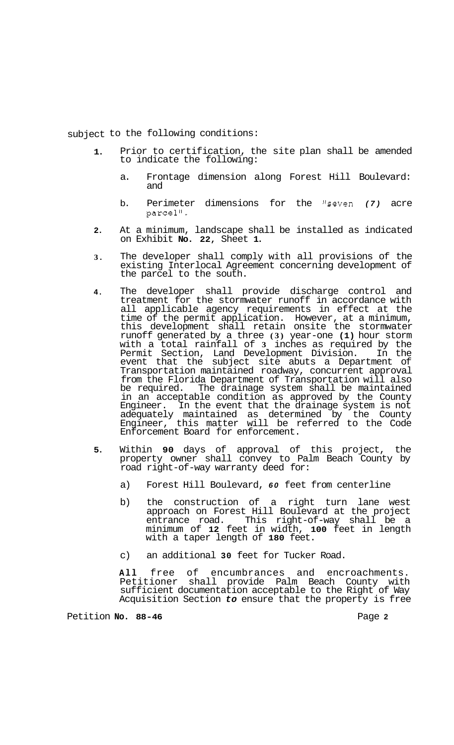subject to the following conditions:

- **1.**  Prior to certification, the site plan shall be amended to indicate the following:
	- a. Frontage dimension along Forest Hill Boulevard: and
	- b. Perimeter dimensions for the "seven (7) acre parcel".
- **2.**  At a minimum, landscape shall be installed as indicated on Exhibit **No. 22,** Sheet **1.**
- **3.**  The developer shall comply with all provisions of the existing Interlocal Agreement concerning development of the parcel to the south.
- **4.**  The developer shall provide discharge control and treatment for the stormwater runoff in accordance with all applicable agency requirements in effect at the time of the permit application. However, at a minimum, this development shall retain onsite the stormwater runoff generated by a three **(3)** year-one **(1)** hour storm with a total rainfall of **3** inches as required by the Permit Section, Land Development Division. In the event that the subject site abuts a Department of Transportation maintained roadway, concurrent approval from the Florida Department of Transportation will also be required. The drainage system shall be maintained in an acceptable condition as approved by the County Engineer. In the event that the drainage system is not adequately maintained as determined by the County Engineer, this matter will be referred to the Code Enforcement Board for enforcement.
- **5.**  Within **90** days of approval of this project, the property owner shall convey to Palm Beach County by road right-of-way warranty deed for:
	- a) Forest Hill Boulevard, *60* feet from centerline
	- b) the construction of a right turn lane west approach on Forest Hill Boulevard at the project entrance road. This right-of-way shall be a minimum of **12** feet in width, **100** feet in length with a taper length of **180** feet.
	- c) an additional **30** feet for Tucker Road.

**All** free of encumbrances and encroachments. Petitioner shall provide Palm Beach County with sufficient documentation acceptable to the Right of Way Acquisition Section *to* ensure that the property is free

Petition **No. 88-46** Page **2**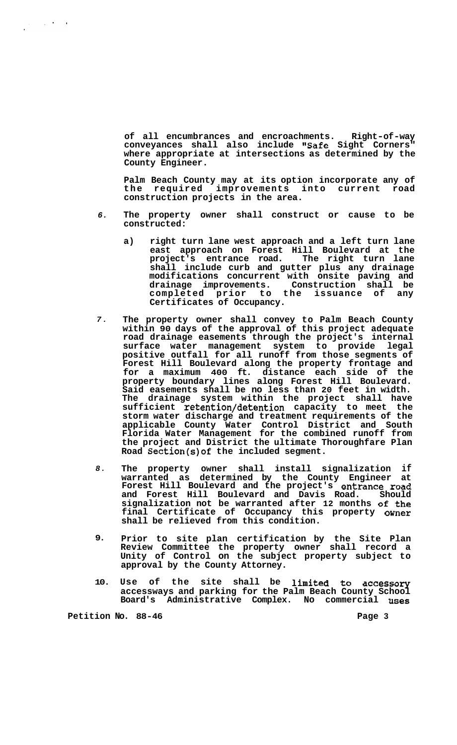**of all encumbrances and encroachments. Right-of-way conveyances shall also include "Safe Sight Corners" where appropriate at intersections as determined by the County Engineer.** 

**Palm Beach County may at its option incorporate any of the required improvements into current road construction projects in the area.** 

- *6.*  **The property owner shall construct or cause to be constructed:** 
	- **a) right turn lane west approach and a left turn lane east approach on Forest Hill Boulevard at the project's entrance road. The right turn lane shall include curb and gutter plus any drainage modifications concurrent with onsite paving and drainage improvements. Construction shall be completed prior to the issuance of any Certificates of Occupancy.**
- *7.*  **The property owner shall convey to Palm Beach County within 90 days of the approval of this project adequate road drainage easements through the project's internal surface water management system to provide legal positive outfall for all runoff from those segments of Forest Hill Boulevard along the property frontage and for a maximum 400 ft. distance each side of the property boundary lines along Forest Hill Boulevard. Said easements shall be no less than 20 feet in width. The drainage system within the project shall have sufficient retention/detention capacity to meet the storm water discharge and treatment requirements of the applicable County Water Control District and South Florida Water Management for the combined runoff from the project and District the ultimate Thoroughfare Plan Road Section(s)of the included segment.**
- *8.*  **The property owner shall install signalization if warranted as determined by the County Engineer at Forest Hill Boulevard and the project's entrance road and Forest Hill Boulevard and Davis Road. Should signalization not be warranted after 12 months of the final Certificate of Occupancy this property Owner shall be relieved from this condition.**
- **9. Prior to site plan certification by the Site Plan Review Committee the property owner shall record a Unity of Control on the subject property subject to approval by the County Attorney.**
- **10. Use of the site shall be limited to accessory accessways and parking for the Palm Beach County School Board's Administrative Complex. No commercial uses**

**Petition No.** 88-46 **Page 3 Page 3** 

 $\frac{1}{2} \sum_{i=1}^n \frac{1}{2} \sum_{j=1}^n \frac{1}{2} \sum_{j=1}^n \frac{1}{2} \sum_{j=1}^n \frac{1}{2} \sum_{j=1}^n \frac{1}{2} \sum_{j=1}^n \frac{1}{2} \sum_{j=1}^n \frac{1}{2} \sum_{j=1}^n \frac{1}{2} \sum_{j=1}^n \frac{1}{2} \sum_{j=1}^n \frac{1}{2} \sum_{j=1}^n \frac{1}{2} \sum_{j=1}^n \frac{1}{2} \sum_{j=1}^n \frac{1}{2} \sum_{j=$